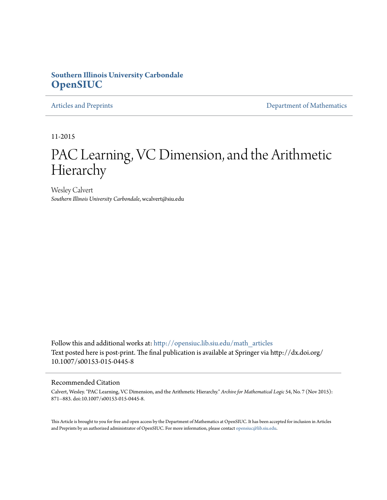# **Southern Illinois University Carbondale [OpenSIUC](http://opensiuc.lib.siu.edu?utm_source=opensiuc.lib.siu.edu%2Fmath_articles%2F125&utm_medium=PDF&utm_campaign=PDFCoverPages)**

[Articles and Preprints](http://opensiuc.lib.siu.edu/math_articles?utm_source=opensiuc.lib.siu.edu%2Fmath_articles%2F125&utm_medium=PDF&utm_campaign=PDFCoverPages) **[Department of Mathematics](http://opensiuc.lib.siu.edu/math?utm_source=opensiuc.lib.siu.edu%2Fmath_articles%2F125&utm_medium=PDF&utm_campaign=PDFCoverPages)** 

11-2015

# PAC Learning, VC Dimension, and the Arithmetic Hierarchy

Wesley Calvert *Southern Illinois University Carbondale*, wcalvert@siu.edu

Follow this and additional works at: [http://opensiuc.lib.siu.edu/math\\_articles](http://opensiuc.lib.siu.edu/math_articles?utm_source=opensiuc.lib.siu.edu%2Fmath_articles%2F125&utm_medium=PDF&utm_campaign=PDFCoverPages) Text posted here is post-print. The final publication is available at Springer via http://dx.doi.org/ 10.1007/s00153-015-0445-8

### Recommended Citation

Calvert, Wesley. "PAC Learning, VC Dimension, and the Arithmetic Hierarchy." *Archive for Mathematical Logic* 54, No. 7 (Nov 2015): 871--883. doi:10.1007/s00153-015-0445-8.

This Article is brought to you for free and open access by the Department of Mathematics at OpenSIUC. It has been accepted for inclusion in Articles and Preprints by an authorized administrator of OpenSIUC. For more information, please contact [opensiuc@lib.siu.edu](mailto:opensiuc@lib.siu.edu).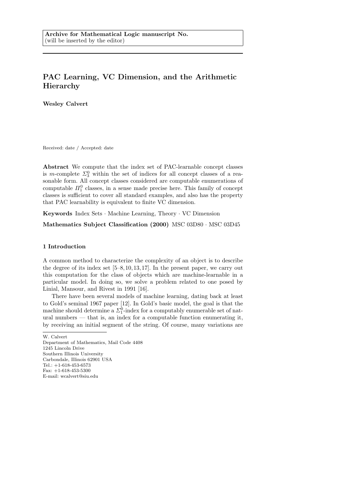## PAC Learning, VC Dimension, and the Arithmetic Hierarchy

Wesley Calvert

Received: date / Accepted: date

Abstract We compute that the index set of PAC-learnable concept classes is m-complete  $\Sigma_3^0$  within the set of indices for all concept classes of a reasonable form. All concept classes considered are computable enumerations of computable  $\Pi_1^0$  classes, in a sense made precise here. This family of concept classes is sufficient to cover all standard examples, and also has the property that PAC learnability is equivalent to finite VC dimension.

Keywords Index Sets · Machine Learning, Theory · VC Dimension

Mathematics Subject Classification (2000) MSC 03D80 · MSC 03D45

## 1 Introduction

A common method to characterize the complexity of an object is to describe the degree of its index set [5–8, 10, 13, 17]. In the present paper, we carry out this computation for the class of objects which are machine-learnable in a particular model. In doing so, we solve a problem related to one posed by Linial, Mansour, and Rivest in 1991 [16].

There have been several models of machine learning, dating back at least to Gold's seminal 1967 paper [12]. In Gold's basic model, the goal is that the machine should determine a  $\Sigma^0_1$ -index for a computably enumerable set of natural numbers — that is, an index for a computable function enumerating it, by receiving an initial segment of the string. Of course, many variations are

W. Calvert

Department of Mathematics, Mail Code 4408 1245 Lincoln Drive Southern Illinois University Carbondale, Illinois 62901 USA Tel.: +1-618-453-6573 Fax: +1-618-453-5300 E-mail: wcalvert@siu.edu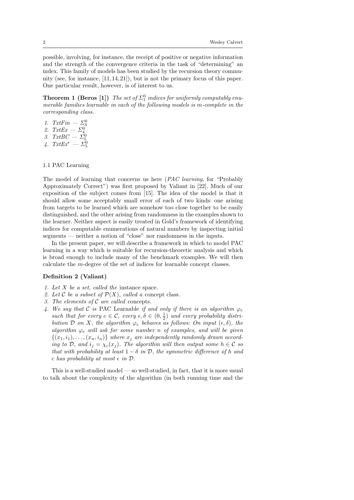possible, involving, for instance, the receipt of positive or negative information and the strength of the convergence criteria in the task of "determining" an index. This family of models has been studied by the recursion theory community (see, for instance,  $[11, 14, 21]$ ), but is not the primary focus of this paper. One particular result, however, is of interest to us.

**Theorem 1 (Beros [1])** The set of  $\Sigma_1^0$  indices for uniformly computably enumerable families learnable in each of the following models is m-complete in the corresponding class.

- 1. TxtFin  $\Sigma_3^0$ <br>
2. TxtEx  $\Sigma_4^0$ <br>
3. TxtBC  $\Sigma_5^0$ <br>
4. TxtEx\*  $\Sigma_5^0$
- 
- 

## 1.1 PAC Learning

The model of learning that concerns us here (PAC learning, for "Probably Approximately Correct") was first proposed by Valiant in [22]. Much of our exposition of the subject comes from [15]. The idea of the model is that it should allow some acceptably small error of each of two kinds: one arising from targets to be learned which are somehow too close together to be easily distinguished, and the other arising from randomness in the examples shown to the learner. Neither aspect is easily treated in Gold's framework of identifying indices for computable enumerations of natural numbers by inspecting initial segments — neither a notion of "close" nor randomness in the inputs.

In the present paper, we will describe a framework in which to model PAC learning in a way which is suitable for recursion-theoretic analysis and which is broad enough to include many of the benchmark examples. We will then calculate the m-degree of the set of indices for learnable concept classes.

#### Definition 2 (Valiant)

- 1. Let X be a set, called the instance space.
- 2. Let C be a subset of  $\mathcal{P}(X)$ , called a concept class.
- 3. The elements of  $C$  are called concepts.
- 4. We say that C is PAC Learnable if and only if there is an algorithm  $\varphi_e$ such that for every  $c \in \mathcal{C}$ , every  $\epsilon, \delta \in (0, \frac{1}{2})$  and every probability distribution  $\mathcal D$  on X, the algorithm  $\varphi_e$  behaves as follows: On input  $(\epsilon, \delta)$ , the algorithm  $\varphi_e$  will ask for some number n of examples, and will be given  $\{(x_1,i_1),\ldots,(x_n,i_n)\}\;$  where  $x_i$  are independently randomly drawn according to D, and  $i_j = \chi_c(x_j)$ . The algorithm will then output some  $h \in \mathcal{C}$  so that with probability at least  $1 - \delta$  in  $\mathcal{D}$ , the symmetric difference of h and c has probability at most  $\epsilon$  in  $\mathcal{D}$ .

This is a well-studied model — so well-studied, in fact, that it is more usual to talk about the complexity of the algorithm (in both running time and the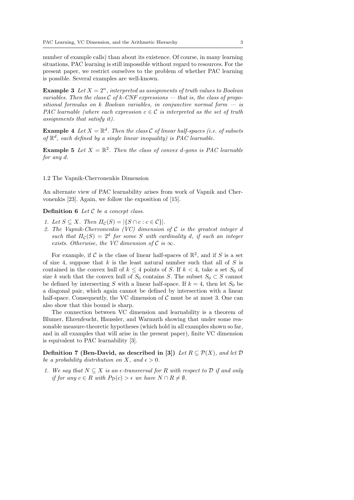number of example calls) than about its existence. Of course, in many learning situations, PAC learning is still impossible without regard to resources. For the present paper, we restrict ourselves to the problem of whether PAC learning is possible. Several examples are well-known.

**Example 3** Let  $X = 2^n$ , interpreted as assignments of truth values to Boolean variables. Then the class C of k-CNF expressions — that is, the class of propositional formulas on k Boolean variables, in conjunctive normal form  $-$  is PAC learnable (where each expression  $c \in \mathcal{C}$  is interpreted as the set of truth assignments that satisfy it).

**Example 4** Let  $X = \mathbb{R}^d$ . Then the class C of linear half-spaces (i.e. of subsets of  $\mathbb{R}^d$ , each defined by a single linear inequality) is PAC learnable.

**Example 5** Let  $X = \mathbb{R}^2$ . Then the class of convex d-gons is PAC learnable for any d.

#### 1.2 The Vapnik-Chervonenkis Dimension

An alternate view of PAC learnability arises from work of Vapnik and Chervonenkis [23]. Again, we follow the exposition of [15].

**Definition 6** Let  $C$  be a concept class.

- 1. Let  $S \subseteq X$ . Then  $\Pi_{\mathcal{C}}(S) = |\{S \cap c : c \in \mathcal{C}\}|$ .
- 2. The Vapnik-Chervonenkis (VC) dimension of  $\mathcal C$  is the greatest integer d such that  $\Pi_{\mathcal{C}}(S) = 2^d$  for some S with cardinality d, if such an integer exists. Otherwise, the VC dimension of  $\mathcal C$  is  $\infty$ .

For example, if C is the class of linear half-spaces of  $\mathbb{R}^2$ , and if S is a set of size 4, suppose that  $k$  is the least natural number such that all of  $S$  is contained in the convex hull of  $k \leq 4$  points of S. If  $k < 4$ , take a set  $S_0$  of size k such that the convex hull of  $S_0$  contains S. The subset  $S_0 \subset S$  cannot be defined by intersecting S with a linear half-space. If  $k = 4$ , then let  $S_0$  be a diagonal pair, which again cannot be defined by intersection with a linear half-space. Consequently, the VC dimension of  $\mathcal C$  must be at most 3. One can also show that this bound is sharp.

The connection between VC dimension and learnability is a theorem of Blumer, Ehrenfeucht, Haussler, and Warmuth showing that under some reasonable measure-theoretic hypotheses (which hold in all examples shown so far, and in all examples that will arise in the present paper), finite VC dimension is equivalent to PAC learnability [3].

Definition 7 (Ben-David, as described in [3]) Let  $R \subseteq \mathcal{P}(X)$ , and let  $\mathcal D$ be a probability distribution on X, and  $\epsilon > 0$ .

1. We say that  $N \subseteq X$  is an  $\epsilon$ -transversal for R with respect to D if and only if for any  $c \in R$  with  $P_{\mathcal{D}}(c) > \epsilon$  we have  $N \cap R \neq \emptyset$ .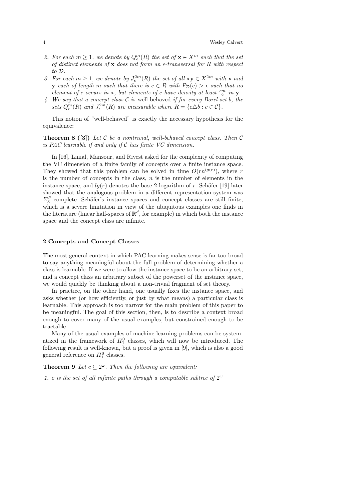- 2. For each  $m \geq 1$ , we denote by  $Q_{\epsilon}^{m}(R)$  the set of  $\mathbf{x} \in X^{m}$  such that the set of distinct elements of  $x$  does not form an  $\epsilon$ -transversal for R with respect to D.
- 3. For each  $m \geq 1$ , we denote by  $J_{\epsilon}^{2m}(R)$  the set of all  $xy \in X^{2m}$  with x and **y** each of length m such that there is  $c \in R$  with  $P_{\mathcal{D}}(c) > \epsilon$  such that no element of c occurs in **x**, but elements of c have density at least  $\frac{\epsilon m}{2}$  in **y**.
- 4. We say that a concept class  $\mathcal C$  is well-behaved if for every Borel set b, the sets  $Q_{\epsilon}^{m}(R)$  and  $J_{\epsilon}^{2m}(R)$  are measurable where  $R = \{c \Delta b : c \in C\}$ .

This notion of "well-behaved" is exactly the necessary hypothesis for the equivalence:

**Theorem 8 ([3])** Let C be a nontrivial, well-behaved concept class. Then C is PAC learnable if and only if  $C$  has finite VC dimension.

In [16], Linial, Mansour, and Rivest asked for the complexity of computing the VC dimension of a finite family of concepts over a finite instance space. They showed that this problem can be solved in time  $O(rn^{lg(r)})$ , where r is the number of concepts in the class,  $n$  is the number of elements in the instance space, and  $lg(r)$  denotes the base 2 logarithm of r. Schäfer [19] later showed that the analogous problem in a different representation system was  $\Sigma_3^P$ -complete. Schäfer's instance spaces and concept classes are still finite, which is a severe limitation in view of the ubiquitous examples one finds in the literature (linear half-spaces of  $\mathbb{R}^d$ , for example) in which both the instance space and the concept class are infinite.

#### 2 Concepts and Concept Classes

The most general context in which PAC learning makes sense is far too broad to say anything meaningful about the full problem of determining whether a class is learnable. If we were to allow the instance space to be an arbitrary set, and a concept class an arbitrary subset of the powerset of the instance space, we would quickly be thinking about a non-trivial fragment of set theory.

In practice, on the other hand, one usually fixes the instance space, and asks whether (or how efficiently, or just by what means) a particular class is learnable. This approach is too narrow for the main problem of this paper to be meaningful. The goal of this section, then, is to describe a context broad enough to cover many of the usual examples, but constrained enough to be tractable.

Many of the usual examples of machine learning problems can be systematized in the framework of  $\Pi_1^0$  classes, which will now be introduced. The following result is well-known, but a proof is given in [9], which is also a good general reference on  $\Pi_1^0$  classes.

**Theorem 9** Let  $c \subseteq 2^{\omega}$ . Then the following are equivalent:

1. c is the set of all infinite paths through a computable subtree of  $2^{\omega}$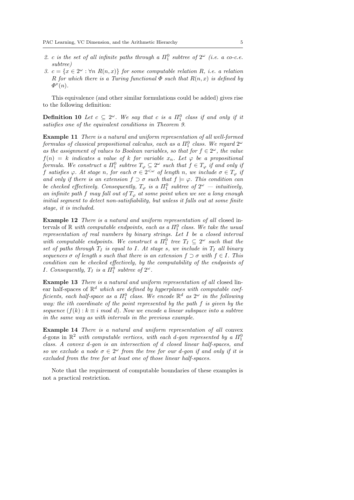- 2. c is the set of all infinite paths through a  $\Pi_1^0$  subtree of  $2^\omega$  (i.e. a co-c.e. subtree)
- 3.  $c = \{x \in 2^{\omega} : \forall n \ R(n,x)\}\$  for some computable relation R, i.e. a relation R for which there is a Turing functional  $\Phi$  such that  $R(n,x)$  is defined by  $\Phi^x(n)$ .

This equivalence (and other similar formulations could be added) gives rise to the following definition:

**Definition 10** Let  $c \subseteq 2^{\omega}$ . We say that c is a  $\Pi_1^0$  class if and only if it satisfies one of the equivalent conditions in Theorem 9.

Example 11 There is a natural and uniform representation of all well-formed  $formulas$  of classical propositional calculus, each as a  $\Pi^0_1$  class. We regard  $2^\omega$ as the assignment of values to Boolean variables, so that for  $f \in 2^\omega$ , the value  $f(n) = k$  indicates a value of k for variable  $x_n$ . Let  $\varphi$  be a propositional formula. We construct a  $\Pi_1^0$  subtree  $T_\varphi \subseteq 2^\omega$  such that  $f \in T_\varphi$  if and only if f satisfies  $\varphi$ . At stage n, for each  $\sigma \in 2^{<\omega}$  of length n, we include  $\sigma \in T_{\varphi}$  if and only if there is an extension  $f \supset \sigma$  such that  $f \models \varphi$ . This condition can be checked effectively. Consequently,  $T_{\varphi}$  is a  $\Pi_1^0$  subtree of  $2^{\omega}$  — intuitively, an infinite path f may fall out of  $T_{\varphi}$  at some point when we see a long enough initial segment to detect non-satisfiability, but unless it falls out at some finite stage, it is included.

Example 12 There is a natural and uniform representation of all closed intervals of  $\mathbb R$  with computable endpoints, each as a  $\Pi_1^0$  class. We take the usual representation of real numbers by binary strings. Let I be a closed interval with computable endpoints. We construct a  $\Pi_1^0$  tree  $T_I \subseteq 2^\omega$  such that the set of paths through  $T_I$  is equal to I. At stage s, we include in  $T_I$  all binary sequences  $\sigma$  of length s such that there is an extension  $f \supset \sigma$  with  $f \in I$ . This condition can be checked effectively, by the computability of the endpoints of *I. Consequently,*  $T_I$  is a  $\Pi_1^0$  subtree of  $2^\omega$ .

Example 13 There is a natural and uniform representation of all closed linear half-spaces of  $\mathbb{R}^d$  which are defined by hyperplanes with computable coefficients, each half-space as a  $\Pi^0_1$  class. We encode  $\mathbb{R}^d$  as  $2^\omega$  in the following way: the ith coordinate of the point represented by the path f is given by the sequence  $(f(k) : k \equiv i \mod d)$ . Now we encode a linear subspace into a subtree in the same way as with intervals in the previous example.

Example 14 There is a natural and uniform representation of all convex d-gons in  $\mathbb{R}^2$  with computable vertices, with each d-gon represented by a  $\Pi_1^0$ class. A convex d-gon is an intersection of d closed linear half-spaces, and so we exclude a node  $\sigma \in 2^{\omega}$  from the tree for our d-gon if and only if it is excluded from the tree for at least one of those linear half-spaces.

Note that the requirement of computable boundaries of these examples is not a practical restriction.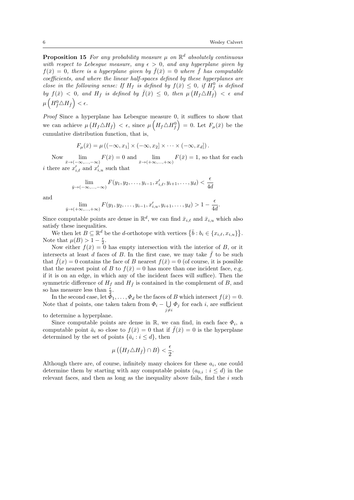**Proposition 15** For any probability measure  $\mu$  on  $\mathbb{R}^d$  absolutely continuous with respect to Lebesgue measure, any  $\epsilon > 0$ , and any hyperplane given by  $f(\bar{x}) = 0$ , there is a hyperplane given by  $\bar{f}(\bar{x}) = 0$  where  $\bar{f}$  has computable coefficients, and where the linear half-spaces defined by these hyperplanes are close in the following sense: If  $H_f$  is defined by  $f(\bar{x}) \leq 0$ , if  $H_f^0$  is defined by  $f(\bar{x}) < 0$ , and  $H_{\bar{f}}$  is defined by  $\bar{f}(\bar{x}) \leq 0$ , then  $\mu\left(H_f \triangle H_{\bar{f}}\right) < \epsilon$  and  $\mu\left(H_f^0\triangle H_{\bar{f}}\right)<\epsilon.$ 

Proof Since a hyperplane has Lebesgue measure 0, it suffices to show that we can achieve  $\mu\left(H_f \triangle H_{\bar{f}}\right) < \epsilon$ , since  $\mu\left(H_f \triangle H_f^0\right) = 0$ . Let  $F_{\mu}(\bar{x})$  be the cumulative distribution function, that is,

$$
F_{\mu}(\bar{x}) = \mu ((-\infty, x_1] \times (-\infty, x_2] \times \cdots \times (-\infty, x_d]).
$$

Now  $\lim_{\bar{x}\to(-\infty,\ldots,-\infty)} F(\bar{x}) = 0$  and  $\lim_{\bar{x}\to(+\infty,\ldots,+\infty)} F(\bar{x}) = 1$ , so that for each *i* there are  $x'_{i,\ell}$  and  $x'_{i,u}$  such that

$$
\lim_{\bar{y}\to(-\infty,\ldots,-\infty)} F(y_1,y_2,\ldots,y_{i-1},x'_{i,\ell},y_{i+1},\ldots,y_d) < \frac{\epsilon}{4d}
$$

and

$$
\lim_{\bar{y}\to (+\infty,...,+\infty)} F(y_1, y_2,..., y_{i-1}, x'_{i,u}, y_{i+1},..., y_d) > 1 - \frac{\epsilon}{4d}.
$$

Since computable points are dense in  $\mathbb{R}^d$ , we can find  $\bar{x}_{i,\ell}$  and  $\bar{x}_{i,u}$  which also satisfy these inequalities.

We then let  $B \subseteq \mathbb{R}^d$  be the d-orthotope with vertices  $\{\bar{b}: b_i \in \{x_{i,\ell}, x_{i,u}\}\}.$ Note that  $\mu(B) > 1 - \frac{\epsilon}{2}$ .

Now either  $f(\bar{x}) = 0$  has empty intersection with the interior of B, or it intersects at least d faces of  $B$ . In the first case, we may take  $f$  to be such that  $\bar{f}(x) = 0$  contains the face of B nearest  $f(\bar{x}) = 0$  (of course, it is possible that the nearest point of B to  $f(\bar{x}) = 0$  has more than one incident face, e.g. if it is on an edge, in which any of the incident faces will suffice). Then the symmetric difference of  $H_f$  and  $H_{\bar{f}}$  is contained in the complement of B, and so has measure less than  $\frac{\epsilon}{2}$ .

In the second case, let  $\bar{\Phi}_1, \ldots, \Phi_d$  be the faces of B which intersect  $f(\bar{x}) = 0$ . Note that d points, one taken taken from  $\Phi_i - \bigcup$  $\bigcup_{j \neq i} \Phi_j$  for each *i*, are sufficient

to determine a hyperplane.

Since computable points are dense in  $\mathbb{R}$ , we can find, in each face  $\Phi_i$ , a computable point  $\bar{a}_i$  so close to  $f(\bar{x}) = 0$  that if  $\bar{f}(\bar{x}) = 0$  is the hyperplane determined by the set of points  $\{\bar{a}_i : i \leq d\}$ , then

$$
\mu\left(\left(H_f \triangle H_{\bar{f}}\right) \cap B\right) < \frac{\epsilon}{2}.
$$

Although there are, of course, infinitely many choices for these  $a_i$ , one could determine them by starting with any computable points  $(a_{0,i}: i \leq d)$  in the relevant faces, and then as long as the inequality above fails, find the  $i$  such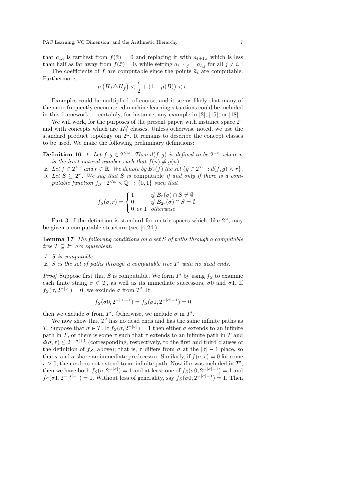that  $a_{t,i}$  is farthest from  $f(\bar{x}) = 0$  and replacing it with  $a_{t+1,i}$  which is less than half as far away from  $f(\bar{x}) = 0$ , while setting  $a_{t+1,j} = a_{t,j}$  for all  $j \neq i$ .

The coefficients of  $\bar{f}$  are computable since the points  $\bar{a}_i$  are computable. Furthermore,

$$
\mu\left(H_f \triangle H_{\bar{f}}\right) < \frac{\epsilon}{2} + (1 - \mu(B)) < \epsilon.
$$

Examples could be multiplied, of course, and it seems likely that many of the more frequently encountered machine learning situations could be included in this framework — certainly, for instance, any example in  $[2]$ ,  $[15]$ , or  $[18]$ .

We will work, for the purposes of the present paper, with instance space  $2^{\omega}$ and with concepts which are  $\Pi_1^0$  classes. Unless otherwise noted, we use the standard product topology on  $2^{\omega}$ . It remains to describe the concept classes to be used. We make the following preliminary definitions:

**Definition 16** 1. Let  $f, g \in 2^{\leq \omega}$ . Then  $d(f, g)$  is defined to be  $2^{-n}$  where n is the least natural number such that  $f(n) \neq g(n)$ .

- 2. Let  $f \in 2^{\leq \omega}$  and  $r \in \mathbb{R}$ . We denote by  $B_r(f)$  the set  $\{g \in 2^{\leq \omega} : d(f,g) < r\}$ .
- 3. Let  $S \subseteq 2^{\omega}$ . We say that S is computable if and only if there is a computable function  $f_S : 2^{<\omega} \times \mathbb{Q} \to \{0,1\}$  such that

$$
f_S(\sigma, r) = \begin{cases} 1 & \text{if } B_r(\sigma) \cap S \neq \emptyset \\ 0 & \text{if } B_{2r}(\sigma) \cap S = \emptyset \\ 0 & \text{or } 1 \quad \text{otherwise} \end{cases}
$$

Part 3 of the definition is standard for metric spaces which, like  $2^{\omega}$ , may be given a computable structure (see  $[4, 24]$ ).

**Lemma 17** The following conditions on a set  $S$  of paths through a computable tree  $T \subseteq 2^{\omega}$  are equivalent:

- 1. S is computable
- 2. S is the set of paths through a computable tree  $T'$  with no dead ends.

*Proof* Suppose first that S is computable. We form  $T'$  by using  $f_S$  to examine each finite string  $\sigma \in T$ , as well as its immediate successors,  $\sigma$ 0 and  $\sigma$ 1. If  $f_S(\sigma, 2^{-|\sigma|}) = 0$ , we exclude  $\sigma$  from T'. If

$$
f_S(\sigma 0, 2^{-|\sigma|-1}) = f_S(\sigma 1, 2^{-|\sigma|-1}) = 0
$$

then we exclude  $\sigma$  from T'. Otherwise, we include  $\sigma$  in T'.

We now show that  $T'$  has no dead ends and has the same infinite paths as T. Suppose that  $\sigma \in T$ . If  $f_S(\sigma, 2^{-|\sigma|}) = 1$  then either  $\sigma$  extends to an infinite path in T, or there is some  $\tau$  such that  $\tau$  extends to an infinite path in T and  $d(\sigma, \tau) \leq 2^{-|\sigma|+1}$  (corresponding, respectively, to the first and third clauses of the definition of fs, above); that is,  $\tau$  differs from  $\sigma$  at the  $|\sigma| - 1$  place, so that  $\tau$  and  $\sigma$  share an immediate predecessor. Similarly, if  $f(\sigma, r) = 0$  for some  $r > 0$ , then  $\sigma$  does not extend to an infinite path. Now if  $\sigma$  was included in T', then we have both  $f_S(\sigma, 2^{-|\sigma|}) = 1$  and at least one of  $f_S(\sigma 0, 2^{-|\sigma|-1}) = 1$  and  $f_S(\sigma 1, 2^{-|\sigma|-1}) = 1$ . Without loss of generality, say  $f_S(\sigma 0, 2^{-|\sigma|-1}) = 1$ . Then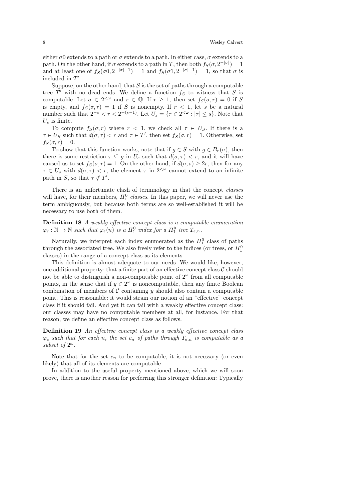either  $\sigma$ 0 extends to a path or  $\sigma$  extends to a path. In either case,  $\sigma$  extends to a path. On the other hand, if  $\sigma$  extends to a path in T, then both  $f_S(\sigma, 2^{-|\sigma|}) = 1$ and at least one of  $f_S(\sigma 0, 2^{-|\sigma|-1}) = 1$  and  $f_S(\sigma 1, 2^{-|\sigma|-1}) = 1$ , so that  $\sigma$  is included in  $T'$ .

Suppose, on the other hand, that  $S$  is the set of paths through a computable tree  $T'$  with no dead ends. We define a function  $f_S$  to witness that S is computable. Let  $\sigma \in 2^{<\omega}$  and  $r \in \mathbb{Q}$ . If  $r \geq 1$ , then set  $f_S(\sigma, r) = 0$  if S is empty, and  $f_S(\sigma, r) = 1$  if S is nonempty. If  $r < 1$ , let s be a natural number such that  $2^{-s} < r < 2^{-(s-1)}$ . Let  $U_s = \{ \tau \in 2^{< \omega} : |\tau| \leq s \}$ . Note that  $U_{\rm s}$  is finite.

To compute  $f_S(\sigma, r)$  where  $r < 1$ , we check all  $\tau \in U_S$ . If there is a  $\tau \in U_S$  such that  $d(\sigma, \tau) < r$  and  $\tau \in T'$ , then set  $f_S(\sigma, r) = 1$ . Otherwise, set  $f_S(\sigma, r) = 0.$ 

To show that this function works, note that if  $g \in S$  with  $g \in B_r(\sigma)$ , then there is some restriction  $\tau \subseteq g$  in  $U_s$  such that  $d(\sigma, \tau) < r$ , and it will have caused us to set  $f_S(\sigma, r) = 1$ . On the other hand, if  $d(\sigma, s) \geq 2r$ , then for any  $\tau \in U_s$  with  $d(\sigma, \tau) < r$ , the element  $\tau$  in  $2^{<\omega}$  cannot extend to an infinite path in S, so that  $\tau \notin T'$ .

There is an unfortunate clash of terminology in that the concept *classes* will have, for their members,  $\Pi_1^0$  classes. In this paper, we will never use the term ambiguously, but because both terms are so well-established it will be necessary to use both of them.

Definition 18 A weakly effective concept class is a computable enumeration  $\varphi_e : \mathbb{N} \to \mathbb{N}$  such that  $\varphi_e(n)$  is a  $\Pi_1^0$  index for a  $\Pi_1^0$  tree  $T_{e,n}$ .

Naturally, we interpret each index enumerated as the  $\Pi_1^0$  class of paths through the associated tree. We also freely refer to the indices (or trees, or  $\Pi_1^0$ classes) in the range of a concept class as its elements.

This definition is almost adequate to our needs. We would like, however, one additional property: that a finite part of an effective concept class  $\mathcal C$  should not be able to distinguish a non-computable point of  $2^{\omega}$  from all computable points, in the sense that if  $y \in 2^{\omega}$  is noncomputable, then any finite Boolean combination of members of  $\mathcal C$  containing y should also contain a computable point. This is reasonable: it would strain our notion of an "effective" concept class if it should fail. And yet it can fail with a weakly effective concept class: our classes may have no computable members at all, for instance. For that reason, we define an effective concept class as follows.

Definition 19 An effective concept class is a weakly effective concept class  $\varphi_e$  such that for each n, the set  $c_n$  of paths through  $T_{e,n}$  is computable as a subset of  $2^{\omega}$ .

Note that for the set  $c_n$  to be computable, it is not necessary (or even likely) that all of its elements are computable.

In addition to the useful property mentioned above, which we will soon prove, there is another reason for preferring this stronger definition: Typically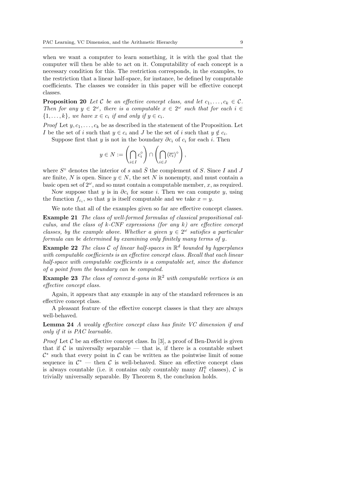when we want a computer to learn something, it is with the goal that the computer will then be able to act on it. Computability of each concept is a necessary condition for this. The restriction corresponds, in the examples, to the restriction that a linear half-space, for instance, be defined by computable coefficients. The classes we consider in this paper will be effective concept classes.

**Proposition 20** Let C be an effective concept class, and let  $c_1, \ldots, c_k \in \mathcal{C}$ . Then for any  $y \in 2^{\omega}$ , there is a computable  $x \in 2^{\omega}$  such that for each  $i \in$  $\{1, \ldots, k\}$ , we have  $x \in c_i$  if and only if  $y \in c_i$ .

*Proof* Let  $y, c_1, \ldots, c_k$  be as described in the statement of the Proposition. Let *I* be the set of *i* such that  $y \in c_i$  and *J* be the set of *i* such that  $y \notin c_i$ .

Suppose first that y is not in the boundary  $\partial c_i$  of  $c_i$  for each i. Then

$$
y \in N := \left(\bigcap_{i \in I} c_i^{\circ}\right) \cap \left(\bigcap_{i \in J} (\overline{c_i})^{\circ}\right),
$$

where  $S^{\circ}$  denotes the interior of s and  $\overline{S}$  the complement of S. Since I and J are finite, N is open. Since  $y \in N$ , the set N is nonempty, and must contain a basic open set of  $2^{\omega}$ , and so must contain a computable member, x, as required.

Now suppose that y is in  $\partial c_i$  for some i. Then we can compute y, using the function  $f_{c_i}$ , so that y is itself computable and we take  $x = y$ .

We note that all of the examples given so far are effective concept classes.

Example 21 The class of well-formed formulas of classical propositional calculus, and the class of  $k$ -CNF expressions (for any k) are effective concept classes, by the example above. Whether a given  $y \in 2^{\omega}$  satisfies a particular formula can be determined by examining only finitely many terms of y.

**Example 22** The class C of linear half-spaces in  $\mathbb{R}^d$  bounded by hyperplanes with computable coefficients is an effective concept class. Recall that each linear half-space with computable coefficients is a computable set, since the distance of a point from the boundary can be computed.

**Example 23** The class of convex d-gons in  $\mathbb{R}^2$  with computable vertices is an effective concept class.

Again, it appears that any example in any of the standard references is an effective concept class.

A pleasant feature of the effective concept classes is that they are always well-behaved.

Lemma 24 A weakly effective concept class has finite VC dimension if and only if it is PAC learnable.

*Proof* Let  $\mathcal C$  be an effective concept class. In [3], a proof of Ben-David is given that if C is universally separable — that is, if there is a countable subset  $\mathcal{C}^*$  such that every point in  $\mathcal C$  can be written as the pointwise limit of some sequence in  $\mathcal{C}^*$  — then  $\mathcal{C}$  is well-behaved. Since an effective concept class is always countable (i.e. it contains only countably many  $\Pi_1^0$  classes),  $\mathcal C$  is trivially universally separable. By Theorem 8, the conclusion holds.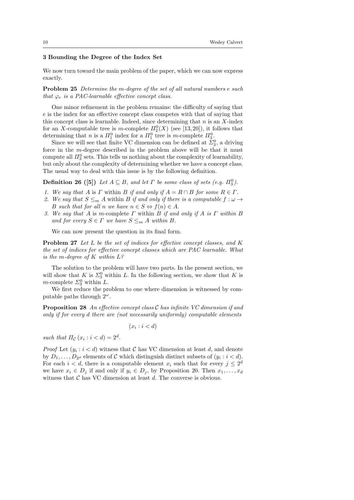#### 3 Bounding the Degree of the Index Set

We now turn toward the main problem of the paper, which we can now express exactly.

Problem 25 Determine the m-degree of the set of all natural numbers e such that  $\varphi_e$  is a PAC-learnable effective concept class.

One minor refinement in the problem remains: the difficulty of saying that e is the index for an effective concept class competes with that of saying that this concept class is learnable. Indeed, since determining that  $n$  is an  $X$ -index for an X-computable tree is m-complete  $\Pi_2^0(X)$  (see [13,20]), it follows that determining that *n* is a  $\Pi_1^0$  index for a  $\Pi_1^0$  tree is *m*-complete  $\Pi_3^0$ .

Since we will see that finite VC dimension can be defined at  $\Sigma_3^0$ , a driving force in the m-degree described in the problem above will be that it must compute all  $\Pi_3^0$  sets. This tells us nothing about the complexity of learnability, but only about the complexity of determining whether we have a concept class. The usual way to deal with this issue is by the following definition.

**Definition 26** ([5]) Let  $A \subseteq B$ , and let  $\Gamma$  be some class of sets (e.g.  $\Pi_3^0$ ).

- 1. We say that A is  $\Gamma$  within B if and only if  $A = R \cap B$  for some  $R \in \Gamma$ .
- 2. We say that  $S \leq_m A$  within B if and only if there is a computable  $f : \omega \to$ B such that for all n we have  $n \in S \Leftrightarrow f(n) \in A$ .
- 3. We say that A is m-complete  $\Gamma$  within B if and only if A is  $\Gamma$  within B and for every  $S \in \Gamma$  we have  $S \leq_m A$  within B.

We can now present the question in its final form.

Problem 27 Let L be the set of indices for effective concept classes, and K the set of indices for effective concept classes which are PAC learnable. What is the m-degree of  $K$  within  $L$ ?

The solution to the problem will have two parts. In the present section, we will show that K is  $\Sigma_3^0$  within L. In the following section, we show that K is *m*-complete  $\Sigma_3^0$  within L.

We first reduce the problem to one where dimension is witnessed by computable paths through  $2^{\omega}$ .

Proposition 28 An effective concept class C has infinite VC dimension if and only if for every d there are (not necessarily uniformly) computable elements

$$
(x_i : i < d)
$$

such that  $\Pi_{\mathcal{C}}(x_i : i < d) = 2^d$ .

*Proof* Let  $(y_i : i < d)$  witness that C has VC dimension at least d, and denote by  $D_1, \ldots, D_{2^d}$  elements of C which distinguish distinct subsets of  $(y_i : i < d)$ . For each  $i < d$ , there is a computable element  $x_i$  such that for every  $j \leq 2^d$ we have  $x_i \in D_i$  if and only if  $y_i \in D_i$ , by Proposition 20. Then  $x_1, \ldots, x_d$ witness that  $\mathcal C$  has VC dimension at least  $d$ . The converse is obvious.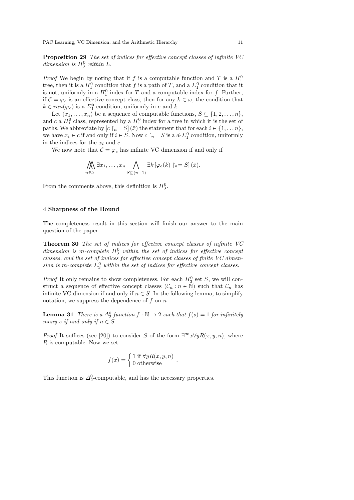Proposition 29 The set of indices for effective concept classes of infinite VC dimension is  $\Pi_3^0$  within L.

*Proof* We begin by noting that if f is a computable function and T is a  $\Pi_1^0$ tree, then it is a  $\Pi_1^0$  condition that f is a path of T, and a  $\Sigma_1^0$  condition that it is not, uniformly in a  $\Pi_1^0$  index for T and a computable index for f. Further, if  $C = \varphi_e$  is an effective concept class, then for any  $k \in \omega$ , the condition that  $k \in ran(\varphi_e)$  is a  $\Sigma_1^0$  condition, uniformly in e and k.

Let  $(x_1, \ldots, x_n)$  be a sequence of computable functions,  $S \subseteq \{1, 2, \ldots, n\}$ , and c a  $\Pi_1^0$  class, represented by a  $\Pi_1^0$  index for a tree in which it is the set of paths. We abbreviate by  $[c \rceil_n = S](\bar{x})$  the statement that for each  $i \in \{1, \ldots n\}$ , we have  $x_i \in c$  if and only if  $i \in S$ . Now  $c \upharpoonright_n = S$  is a  $d$ - $\Sigma_1^0$  condition, uniformly in the indices for the  $x_i$  and c.

We now note that  $C = \varphi_e$  has infinite VC dimension if and only if

$$
\bigwedge_{n\in\mathbb{N}}\exists x_1,\ldots,x_n\bigwedge_{S\subseteq(n+1)}\exists k\,[\varphi_e(k)\,\,[n=S]\,(\bar{x}).
$$

From the comments above, this definition is  $\Pi_3^0$ .

#### 4 Sharpness of the Bound

The completeness result in this section will finish our answer to the main question of the paper.

Theorem 30 The set of indices for effective concept classes of infinite VC dimension is m-complete  $\Pi_3^0$  within the set of indices for effective concept classes, and the set of indices for effective concept classes of finite VC dimension is m-complete  $\Sigma_3^0$  within the set of indices for effective concept classes.

*Proof* It only remains to show completeness. For each  $\Pi_3^0$  set S, we will construct a sequence of effective concept classes  $(C_n : n \in \mathbb{N})$  such that  $C_n$  has infinite VC dimension if and only if  $n \in S$ . In the following lemma, to simplify notation, we suppress the dependence of  $f$  on  $n$ .

**Lemma 31** There is a  $\Delta_2^0$  function  $f : \mathbb{N} \to 2$  such that  $f(s) = 1$  for infinitely many s if and only if  $n \in S$ .

*Proof* It suffices (see [20]) to consider S of the form  $\exists^{\infty} x \forall y R(x, y, n)$ , where R is computable. Now we set

$$
f(x) = \begin{cases} 1 \text{ if } \forall y R(x, y, n) \\ 0 \text{ otherwise} \end{cases}.
$$

This function is  $\Delta_2^0$ -computable, and has the necessary properties.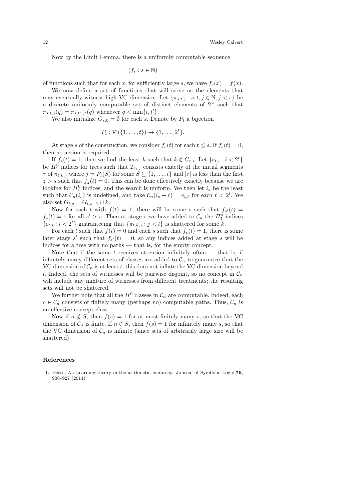Now by the Limit Lemma, there is a uniformly computable sequence

 $(f_s : s \in \mathbb{N})$ 

of functions such that for each x, for sufficiently large s, we have  $f_s(x) = f(x)$ .

We now define a set of functions that will serve as the elements that may eventually witness high VC dimension. Let  $\{\pi_{s,t,j}: s,t,j \in \mathbb{N}, j < s\}$  be a discrete uniformly computable set of distinct elements of  $2^{\omega}$  such that  $\pi_{s,t,j}(q) = \pi_{s,t',j'}(q)$  whenever  $q < \min\{t,t'\}.$ 

We also initialize  $G_{s,0} = \emptyset$  for each s. Denote by  $P_t$  a bijection

$$
P_t: \mathcal{P}(\{1,\ldots,t\}) \to \{1,\ldots,2^t\}.
$$

At stage s of the construction, we consider  $f_s(t)$  for each  $t \leq s$ . If  $f_s(t) = 0$ , then no action is required.

If  $f_s(t) = 1$ , then we find the least k such that  $k \notin G_{t,s}$ . Let  $\{e_{t,i} : i < 2^t\}$ be  $\Pi_1^0$  indices for trees such that  $T_{e_{t,i}}$  consists exactly of the initial segments  $\tau$  of  $\pi_{t,k,j}$  where  $j = P_t(S)$  for some  $S \subseteq \{1, \ldots, t\}$  and  $|\tau|$  is less than the first  $z > s$  such that  $f_z(t) = 0$ . This can be done effectively exactly because we are looking for  $\Pi_1^0$  indices, and the search is uniform. We then let  $i_s$  be the least such that  $\mathcal{C}_n(i_s)$  is undefined, and take  $\mathcal{C}_n(i_s + \ell) = e_{t,\ell}$  for each  $\ell < 2^t$ . We also set  $G_{t,s} = G_{t,s-1} \cup k$ .

Now for each t with  $f(t) = 1$ , there will be some s such that  $f_{s'}(t) =$  $f_s(t) = 1$  for all  $s' > s$ . Then at stage s we have added to  $\mathcal{C}_n$  the  $\overline{H}_1^0$  indices  ${e_{t,i} : i < 2^t}$  guaranteeing that  ${\lbrace \pi_{t,k,j} : j < t \rbrace}$  is shattered for some k.

For each t such that  $f(t) = 0$  and each s such that  $f_s(t) = 1$ , there is some later stage s' such that  $f_{s'}(t) = 0$ , so any indices added at stage s will be indices for a tree with no paths — that is, for the empty concept.

Note that if the same t receives attention infinitely often  $-$  that is, if infinitely many different sets of classes are added to  $\mathcal{C}_n$  to guarantee that the VC dimension of  $C_n$  is at least t, this does not inflate the VC dimension beyond t. Indeed, the sets of witnesses will be pairwise disjoint, so no concept in  $\mathcal{C}_n$ will include any mixture of witnesses from different treatments; the resulting sets will not be shattered.

We further note that all the  $\Pi_1^0$  classes in  $\mathcal{C}_n$  are computable. Indeed, each  $c \in \mathcal{C}_n$  consists of finitely many (perhaps no) computable paths. Thus,  $\mathcal{C}_n$  is an effective concept class.

Now if  $n \notin S$ , then  $f(s) = 1$  for at most finitely many s, so that the VC dimension of  $C_n$  is finite. If  $n \in S$ , then  $f(s) = 1$  for infinitely many s, so that the VC dimension of  $C_n$  is infinite (since sets of arbitrarily large size will be shattered).

#### References

1. Beros, A.: Learning theory in the arithmetic hierarchy. Journal of Symbolic Logic 79, 908–927 (2014)